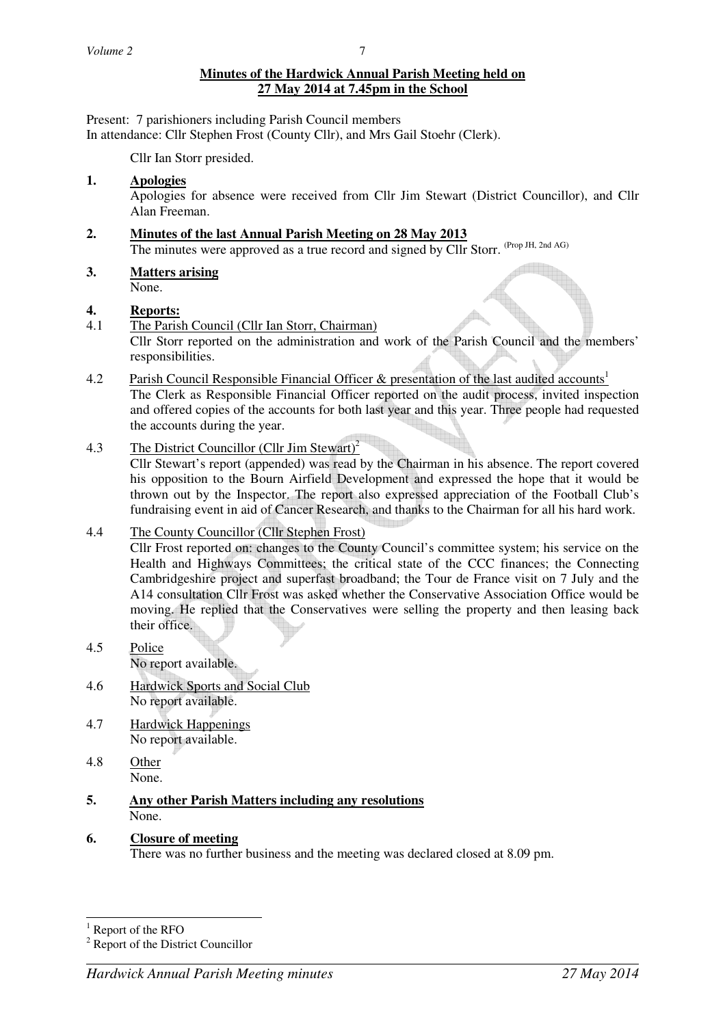### **Minutes of the Hardwick Annual Parish Meeting held on 27 May 2014 at 7.45pm in the School**

Present: 7 parishioners including Parish Council members In attendance: Cllr Stephen Frost (County Cllr), and Mrs Gail Stoehr (Clerk).

Cllr Ian Storr presided.

### **1. Apologies**

Apologies for absence were received from Cllr Jim Stewart (District Councillor), and Cllr Alan Freeman.

# **2. Minutes of the last Annual Parish Meeting on 28 May 2013**

The minutes were approved as a true record and signed by Cllr Storr. (Prop JH, 2nd AG)

**3. Matters arising**

None.

### **4. Reports:**

- 4.1 The Parish Council (Cllr Ian Storr, Chairman) Cllr Storr reported on the administration and work of the Parish Council and the members' responsibilities.
- 4.2 Parish Council Responsible Financial Officer & presentation of the last audited accounts<sup>1</sup> The Clerk as Responsible Financial Officer reported on the audit process, invited inspection and offered copies of the accounts for both last year and this year. Three people had requested the accounts during the year.
- 4.3 The District Councillor (Cllr Jim Stewart)<sup>2</sup>

 Cllr Stewart's report (appended) was read by the Chairman in his absence. The report covered his opposition to the Bourn Airfield Development and expressed the hope that it would be thrown out by the Inspector. The report also expressed appreciation of the Football Club's fundraising event in aid of Cancer Research, and thanks to the Chairman for all his hard work.

## 4.4 The County Councillor (Cllr Stephen Frost)

 Cllr Frost reported on: changes to the County Council's committee system; his service on the Health and Highways Committees; the critical state of the CCC finances; the Connecting Cambridgeshire project and superfast broadband; the Tour de France visit on 7 July and the A14 consultation Cllr Frost was asked whether the Conservative Association Office would be moving. He replied that the Conservatives were selling the property and then leasing back their office.

- 4.5 Police No report available.
- 4.6 Hardwick Sports and Social Club No report available.
- 4.7 Hardwick Happenings No report available.
- 4.8 Other None.
- **5. Any other Parish Matters including any resolutions** None.
- **6. Closure of meeting** There was no further business and the meeting was declared closed at 8.09 pm.

<sup>&</sup>lt;sup>1</sup> Report of the RFO

<sup>&</sup>lt;sup>2</sup> Report of the District Councillor